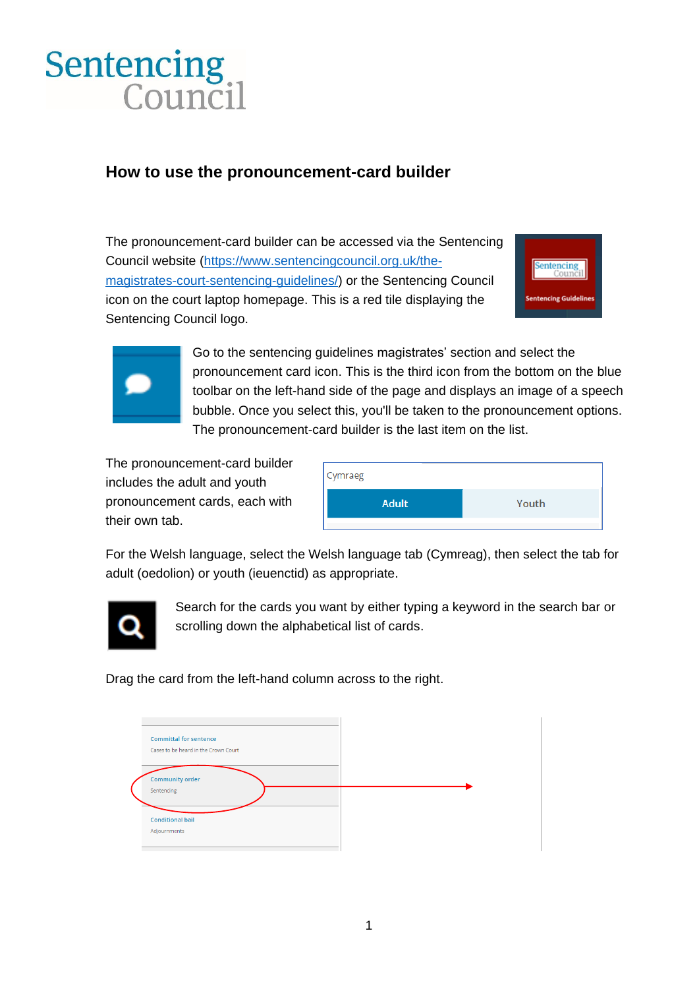## Sentencing<br>Council

## **How to use the pronouncement-card builder**

The pronouncement-card builder can be accessed via the Sentencing Council website [\(https://www.sentencingcouncil.org.uk/the](https://www.sentencingcouncil.org.uk/the-magistrates-court-sentencing-guidelines/)[magistrates-court-sentencing-guidelines/\)](https://www.sentencingcouncil.org.uk/the-magistrates-court-sentencing-guidelines/) or the Sentencing Council icon on the court laptop homepage. This is a red tile displaying the Sentencing Council logo.





Go to the sentencing guidelines magistrates' section and select the pronouncement card icon. This is the third icon from the bottom on the blue toolbar on the left-hand side of the page and displays an image of a speech bubble. Once you select this, you'll be taken to the pronouncement options. The pronouncement-card builder is the last item on the list.

The pronouncement-card builder includes the adult and youth pronouncement cards, each with their own tab.

| Cymraeg      |       |
|--------------|-------|
| <b>Adult</b> | Youth |
|              |       |

For the Welsh language, select the Welsh language tab (Cymreag), then select the tab for adult (oedolion) or youth (ieuenctid) as appropriate.



Search for the cards you want by either typing a keyword in the search bar or scrolling down the alphabetical list of cards.

Drag the card from the left-hand column across to the right.

| <b>Committal for sentence</b><br>Cases to be heard in the Crown Court |  |
|-----------------------------------------------------------------------|--|
| <b>Community order</b><br>Sentencing                                  |  |
| <b>Conditional bail</b><br>Adjournments                               |  |